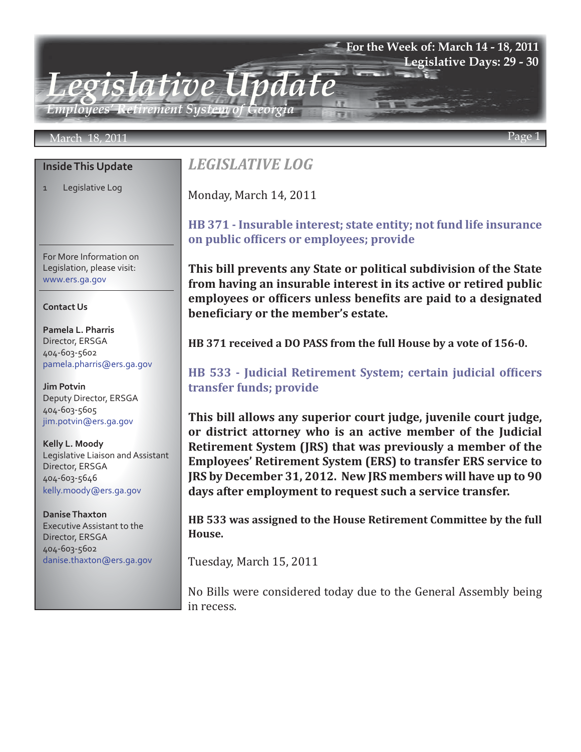## **For the Week of: March 14 - 18, 2011 Legislative Days: 29 - 30**

*Employees' Retirement System of Georgia*

## March 18, 2011 Page 1

## **Inside This Update**

1 Legislative Log

For More Information on Legislation, please visit: www.ers.ga.gov

### **Contact Us**

**Pamela L. Pharris** Director, ERSGA 404-603-5602 pamela.pharris@ers.ga.gov

**Jim Potvin** Deputy Director, ERSGA 404-603-5605 jim.potvin@ers.ga.gov

**Kelly L. Moody** Legislative Liaison and Assistant Director, ERSGA 404-603-5646 kelly.moody@ers.ga.gov

**Danise Thaxton** Executive Assistant to the Director, ERSGA 404-603-5602 danise.thaxton@ers.ga.gov

# *LEGISLATIVE LOG*

*Legislative Update*

Monday, March 14, 2011

## **[HB 371 - Insurable interest; state entity; not fund life insurance](http://www.legis.ga.gov/Legislation/20112012/111160.pdf) on public officers or employees; provide**

**This bill prevents any State or political subdivision of the State from having an insurable interest in its active or retired public employees or officers unless benefits are paid to a designated beneficiary or the member's estate.**

**HB 371 received a DO PASS from the full House by a vote of 156-0.**

**[HB 533 - Judicial Retirement System; certain judicial officers](http://www.legis.ga.gov/Legislation/20112012/112997.pdf) transfer funds; provide**

**This bill allows any superior court judge, juvenile court judge, or district attorney who is an active member of the Judicial Retirement System (JRS) that was previously a member of the Employees' Retirement System (ERS) to transfer ERS service to JRS by December 31, 2012. New JRS members will have up to 90 days after employment to request such a service transfer.** 

**HB 533 was assigned to the House Retirement Committee by the full House.**

Tuesday, March 15, 2011

No Bills were considered today due to the General Assembly being in recess.